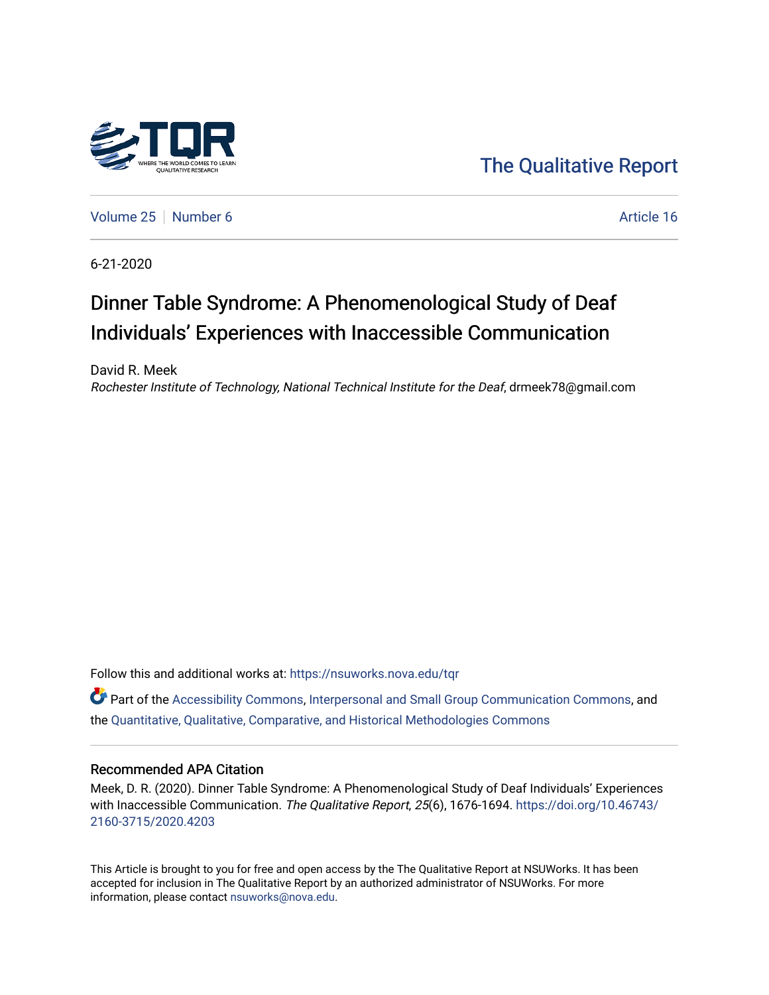

[The Qualitative Report](https://nsuworks.nova.edu/tqr) 

[Volume 25](https://nsuworks.nova.edu/tqr/vol25) [Number 6](https://nsuworks.nova.edu/tqr/vol25/iss6) Article 16

6-21-2020

## Dinner Table Syndrome: A Phenomenological Study of Deaf Individuals' Experiences with Inaccessible Communication

David R. Meek Rochester Institute of Technology, National Technical Institute for the Deaf, drmeek78@gmail.com

Follow this and additional works at: [https://nsuworks.nova.edu/tqr](https://nsuworks.nova.edu/tqr?utm_source=nsuworks.nova.edu%2Ftqr%2Fvol25%2Fiss6%2F16&utm_medium=PDF&utm_campaign=PDFCoverPages) 

Part of the [Accessibility Commons,](http://network.bepress.com/hgg/discipline/1318?utm_source=nsuworks.nova.edu%2Ftqr%2Fvol25%2Fiss6%2F16&utm_medium=PDF&utm_campaign=PDFCoverPages) [Interpersonal and Small Group Communication Commons,](http://network.bepress.com/hgg/discipline/332?utm_source=nsuworks.nova.edu%2Ftqr%2Fvol25%2Fiss6%2F16&utm_medium=PDF&utm_campaign=PDFCoverPages) and the [Quantitative, Qualitative, Comparative, and Historical Methodologies Commons](http://network.bepress.com/hgg/discipline/423?utm_source=nsuworks.nova.edu%2Ftqr%2Fvol25%2Fiss6%2F16&utm_medium=PDF&utm_campaign=PDFCoverPages)

#### Recommended APA Citation

Meek, D. R. (2020). Dinner Table Syndrome: A Phenomenological Study of Deaf Individuals' Experiences with Inaccessible Communication. The Qualitative Report, 25(6), 1676-1694. [https://doi.org/10.46743/](https://doi.org/10.46743/2160-3715/2020.4203) [2160-3715/2020.4203](https://doi.org/10.46743/2160-3715/2020.4203)

This Article is brought to you for free and open access by the The Qualitative Report at NSUWorks. It has been accepted for inclusion in The Qualitative Report by an authorized administrator of NSUWorks. For more information, please contact [nsuworks@nova.edu.](mailto:nsuworks@nova.edu)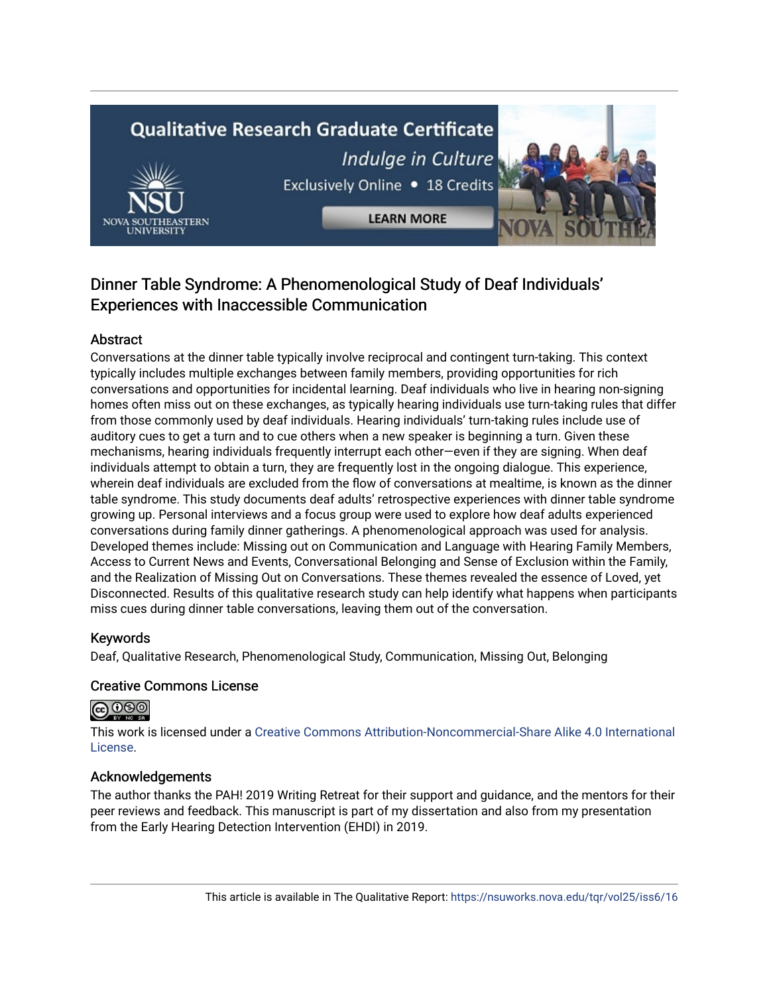# **Qualitative Research Graduate Certificate** Indulge in Culture Exclusively Online . 18 Credits

**LEARN MORE** 

### Dinner Table Syndrome: A Phenomenological Study of Deaf Individuals' Experiences with Inaccessible Communication

#### Abstract

Conversations at the dinner table typically involve reciprocal and contingent turn-taking. This context typically includes multiple exchanges between family members, providing opportunities for rich conversations and opportunities for incidental learning. Deaf individuals who live in hearing non-signing homes often miss out on these exchanges, as typically hearing individuals use turn-taking rules that differ from those commonly used by deaf individuals. Hearing individuals' turn-taking rules include use of auditory cues to get a turn and to cue others when a new speaker is beginning a turn. Given these mechanisms, hearing individuals frequently interrupt each other—even if they are signing. When deaf individuals attempt to obtain a turn, they are frequently lost in the ongoing dialogue. This experience, wherein deaf individuals are excluded from the flow of conversations at mealtime, is known as the dinner table syndrome. This study documents deaf adults' retrospective experiences with dinner table syndrome growing up. Personal interviews and a focus group were used to explore how deaf adults experienced conversations during family dinner gatherings. A phenomenological approach was used for analysis. Developed themes include: Missing out on Communication and Language with Hearing Family Members, Access to Current News and Events, Conversational Belonging and Sense of Exclusion within the Family, and the Realization of Missing Out on Conversations. These themes revealed the essence of Loved, yet Disconnected. Results of this qualitative research study can help identify what happens when participants miss cues during dinner table conversations, leaving them out of the conversation.

#### Keywords

Deaf, Qualitative Research, Phenomenological Study, Communication, Missing Out, Belonging

#### Creative Commons License

#### **@@@**

This work is licensed under a [Creative Commons Attribution-Noncommercial-Share Alike 4.0 International](https://creativecommons.org/licenses/by-nc-sa/4.0/)  [License](https://creativecommons.org/licenses/by-nc-sa/4.0/).

#### Acknowledgements

The author thanks the PAH! 2019 Writing Retreat for their support and guidance, and the mentors for their peer reviews and feedback. This manuscript is part of my dissertation and also from my presentation from the Early Hearing Detection Intervention (EHDI) in 2019.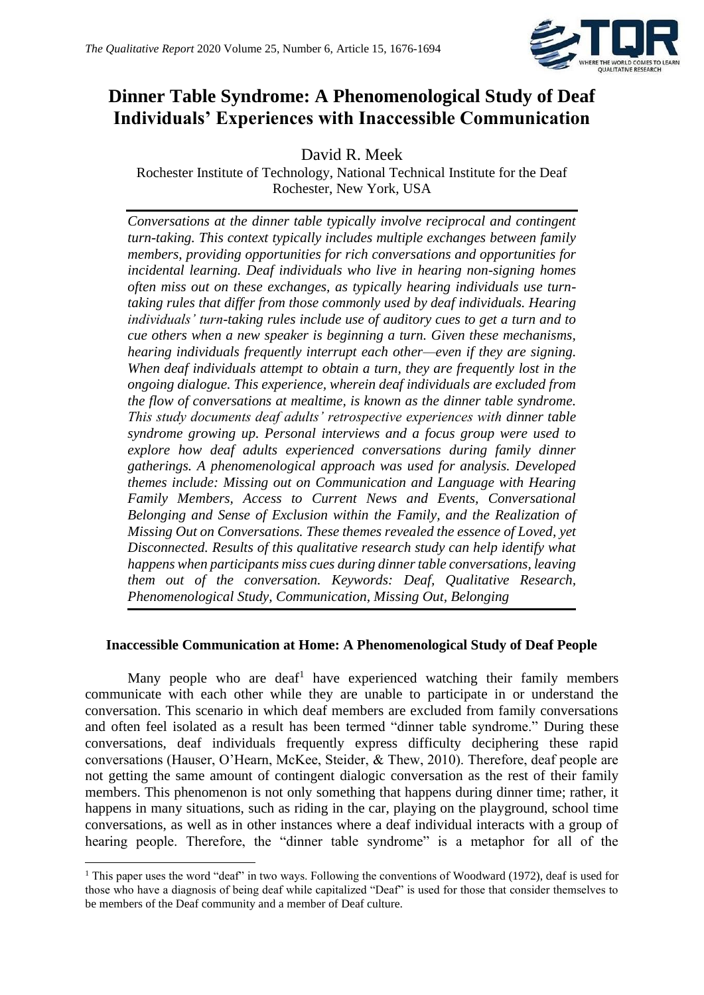

## **Dinner Table Syndrome: A Phenomenological Study of Deaf Individuals' Experiences with Inaccessible Communication**

David R. Meek

Rochester Institute of Technology, National Technical Institute for the Deaf Rochester, New York, USA

*Conversations at the dinner table typically involve reciprocal and contingent turn-taking. This context typically includes multiple exchanges between family members, providing opportunities for rich conversations and opportunities for incidental learning. Deaf individuals who live in hearing non-signing homes often miss out on these exchanges, as typically hearing individuals use turntaking rules that differ from those commonly used by deaf individuals. Hearing individuals' turn-taking rules include use of auditory cues to get a turn and to cue others when a new speaker is beginning a turn. Given these mechanisms, hearing individuals frequently interrupt each other—even if they are signing. When deaf individuals attempt to obtain a turn, they are frequently lost in the ongoing dialogue. This experience, wherein deaf individuals are excluded from the flow of conversations at mealtime, is known as the dinner table syndrome. This study documents deaf adults' retrospective experiences with dinner table syndrome growing up. Personal interviews and a focus group were used to explore how deaf adults experienced conversations during family dinner gatherings. A phenomenological approach was used for analysis. Developed themes include: Missing out on Communication and Language with Hearing Family Members, Access to Current News and Events, Conversational Belonging and Sense of Exclusion within the Family, and the Realization of Missing Out on Conversations. These themes revealed the essence of Loved, yet Disconnected. Results of this qualitative research study can help identify what happens when participants miss cues during dinner table conversations, leaving them out of the conversation. Keywords: Deaf, Qualitative Research, Phenomenological Study, Communication, Missing Out, Belonging*

#### **Inaccessible Communication at Home: A Phenomenological Study of Deaf People**

Many people who are deaf<sup>1</sup> have experienced watching their family members communicate with each other while they are unable to participate in or understand the conversation. This scenario in which deaf members are excluded from family conversations and often feel isolated as a result has been termed "dinner table syndrome." During these conversations, deaf individuals frequently express difficulty deciphering these rapid conversations (Hauser, O'Hearn, McKee, Steider, & Thew, 2010). Therefore, deaf people are not getting the same amount of contingent dialogic conversation as the rest of their family members. This phenomenon is not only something that happens during dinner time; rather, it happens in many situations, such as riding in the car, playing on the playground, school time conversations, as well as in other instances where a deaf individual interacts with a group of hearing people. Therefore, the "dinner table syndrome" is a metaphor for all of the

<sup>1</sup> This paper uses the word "deaf" in two ways. Following the conventions of Woodward (1972), deaf is used for those who have a diagnosis of being deaf while capitalized "Deaf" is used for those that consider themselves to be members of the Deaf community and a member of Deaf culture.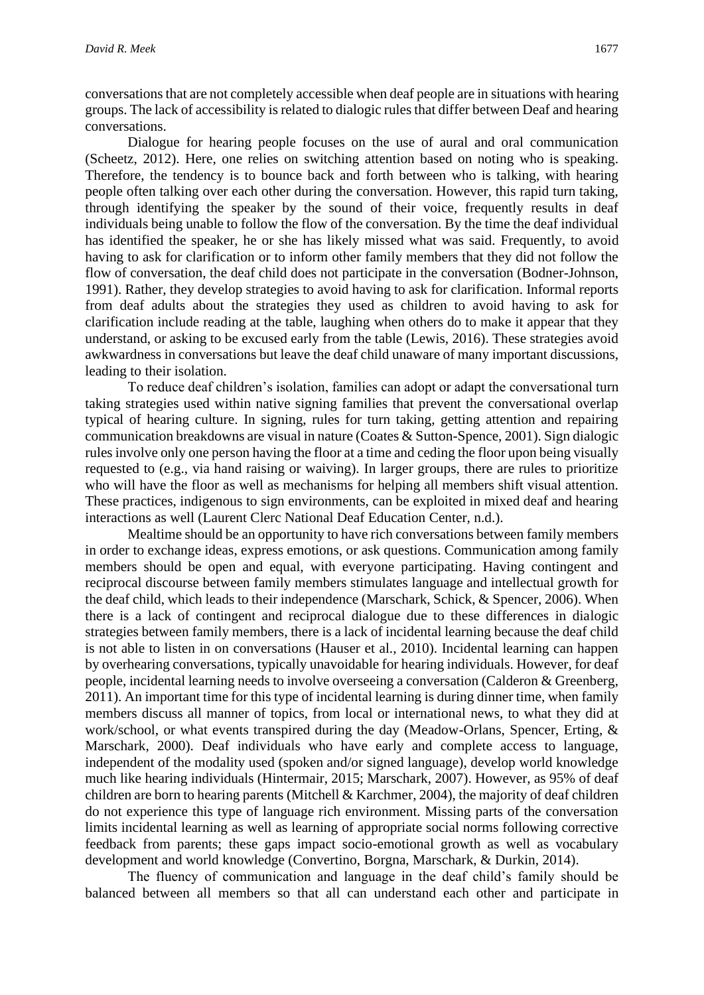conversations that are not completely accessible when deaf people are in situations with hearing groups. The lack of accessibility is related to dialogic rules that differ between Deaf and hearing conversations.

Dialogue for hearing people focuses on the use of aural and oral communication (Scheetz, 2012). Here, one relies on switching attention based on noting who is speaking. Therefore, the tendency is to bounce back and forth between who is talking, with hearing people often talking over each other during the conversation. However, this rapid turn taking, through identifying the speaker by the sound of their voice, frequently results in deaf individuals being unable to follow the flow of the conversation. By the time the deaf individual has identified the speaker, he or she has likely missed what was said. Frequently, to avoid having to ask for clarification or to inform other family members that they did not follow the flow of conversation, the deaf child does not participate in the conversation (Bodner-Johnson, 1991). Rather, they develop strategies to avoid having to ask for clarification. Informal reports from deaf adults about the strategies they used as children to avoid having to ask for clarification include reading at the table, laughing when others do to make it appear that they understand, or asking to be excused early from the table (Lewis, 2016). These strategies avoid awkwardness in conversations but leave the deaf child unaware of many important discussions, leading to their isolation.

To reduce deaf children's isolation, families can adopt or adapt the conversational turn taking strategies used within native signing families that prevent the conversational overlap typical of hearing culture. In signing, rules for turn taking, getting attention and repairing communication breakdowns are visual in nature (Coates & Sutton-Spence, 2001). Sign dialogic rules involve only one person having the floor at a time and ceding the floor upon being visually requested to (e.g., via hand raising or waiving). In larger groups, there are rules to prioritize who will have the floor as well as mechanisms for helping all members shift visual attention. These practices, indigenous to sign environments, can be exploited in mixed deaf and hearing interactions as well (Laurent Clerc National Deaf Education Center, n.d.).

Mealtime should be an opportunity to have rich conversations between family members in order to exchange ideas, express emotions, or ask questions. Communication among family members should be open and equal, with everyone participating. Having contingent and reciprocal discourse between family members stimulates language and intellectual growth for the deaf child, which leads to their independence (Marschark, Schick, & Spencer, 2006). When there is a lack of contingent and reciprocal dialogue due to these differences in dialogic strategies between family members, there is a lack of incidental learning because the deaf child is not able to listen in on conversations (Hauser et al., 2010). Incidental learning can happen by overhearing conversations, typically unavoidable for hearing individuals. However, for deaf people, incidental learning needs to involve overseeing a conversation (Calderon & Greenberg, 2011). An important time for this type of incidental learning is during dinner time, when family members discuss all manner of topics, from local or international news, to what they did at work/school, or what events transpired during the day (Meadow-Orlans, Spencer, Erting, & Marschark, 2000). Deaf individuals who have early and complete access to language, independent of the modality used (spoken and/or signed language), develop world knowledge much like hearing individuals (Hintermair, 2015; Marschark, 2007). However, as 95% of deaf children are born to hearing parents (Mitchell & Karchmer, 2004), the majority of deaf children do not experience this type of language rich environment. Missing parts of the conversation limits incidental learning as well as learning of appropriate social norms following corrective feedback from parents; these gaps impact socio-emotional growth as well as vocabulary development and world knowledge (Convertino, Borgna, Marschark, & Durkin, 2014).

The fluency of communication and language in the deaf child's family should be balanced between all members so that all can understand each other and participate in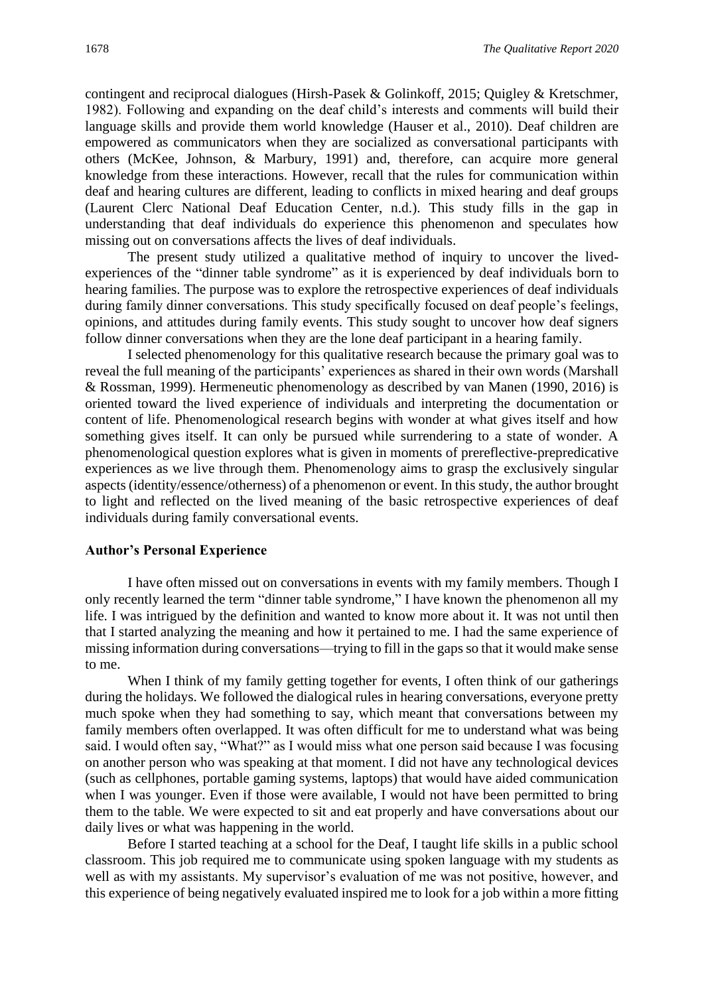contingent and reciprocal dialogues (Hirsh-Pasek & Golinkoff, 2015; Quigley & Kretschmer, 1982). Following and expanding on the deaf child's interests and comments will build their language skills and provide them world knowledge (Hauser et al., 2010). Deaf children are empowered as communicators when they are socialized as conversational participants with others (McKee, Johnson, & Marbury, 1991) and, therefore, can acquire more general knowledge from these interactions. However, recall that the rules for communication within deaf and hearing cultures are different, leading to conflicts in mixed hearing and deaf groups (Laurent Clerc National Deaf Education Center, n.d.). This study fills in the gap in understanding that deaf individuals do experience this phenomenon and speculates how missing out on conversations affects the lives of deaf individuals.

The present study utilized a qualitative method of inquiry to uncover the livedexperiences of the "dinner table syndrome" as it is experienced by deaf individuals born to hearing families. The purpose was to explore the retrospective experiences of deaf individuals during family dinner conversations. This study specifically focused on deaf people's feelings, opinions, and attitudes during family events. This study sought to uncover how deaf signers follow dinner conversations when they are the lone deaf participant in a hearing family.

I selected phenomenology for this qualitative research because the primary goal was to reveal the full meaning of the participants' experiences as shared in their own words (Marshall & Rossman, 1999). Hermeneutic phenomenology as described by van Manen (1990, 2016) is oriented toward the lived experience of individuals and interpreting the documentation or content of life. Phenomenological research begins with wonder at what gives itself and how something gives itself. It can only be pursued while surrendering to a state of wonder. A phenomenological question explores what is given in moments of prereflective-prepredicative experiences as we live through them. Phenomenology aims to grasp the exclusively singular aspects (identity/essence/otherness) of a phenomenon or event. In this study, the author brought to light and reflected on the lived meaning of the basic retrospective experiences of deaf individuals during family conversational events.

#### **Author's Personal Experience**

I have often missed out on conversations in events with my family members. Though I only recently learned the term "dinner table syndrome," I have known the phenomenon all my life. I was intrigued by the definition and wanted to know more about it. It was not until then that I started analyzing the meaning and how it pertained to me. I had the same experience of missing information during conversations—trying to fill in the gaps so that it would make sense to me.

When I think of my family getting together for events, I often think of our gatherings during the holidays. We followed the dialogical rules in hearing conversations, everyone pretty much spoke when they had something to say, which meant that conversations between my family members often overlapped. It was often difficult for me to understand what was being said. I would often say, "What?" as I would miss what one person said because I was focusing on another person who was speaking at that moment. I did not have any technological devices (such as cellphones, portable gaming systems, laptops) that would have aided communication when I was younger. Even if those were available, I would not have been permitted to bring them to the table. We were expected to sit and eat properly and have conversations about our daily lives or what was happening in the world.

Before I started teaching at a school for the Deaf, I taught life skills in a public school classroom. This job required me to communicate using spoken language with my students as well as with my assistants. My supervisor's evaluation of me was not positive, however, and this experience of being negatively evaluated inspired me to look for a job within a more fitting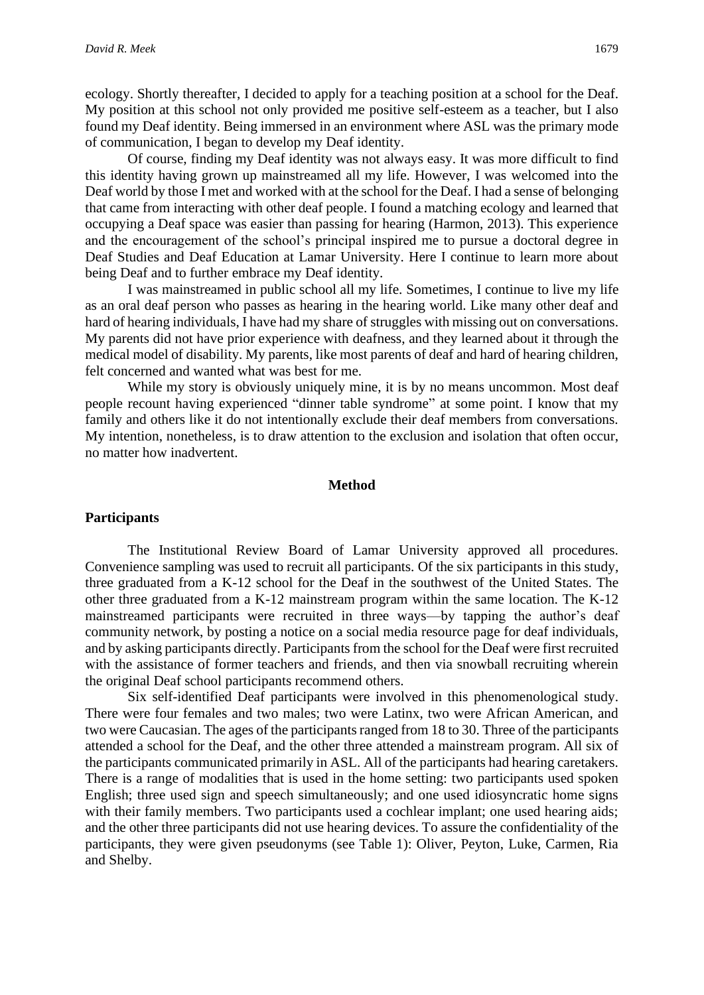ecology. Shortly thereafter, I decided to apply for a teaching position at a school for the Deaf. My position at this school not only provided me positive self-esteem as a teacher, but I also found my Deaf identity. Being immersed in an environment where ASL was the primary mode of communication, I began to develop my Deaf identity.

Of course, finding my Deaf identity was not always easy. It was more difficult to find this identity having grown up mainstreamed all my life. However, I was welcomed into the Deaf world by those I met and worked with at the school for the Deaf. I had a sense of belonging that came from interacting with other deaf people. I found a matching ecology and learned that occupying a Deaf space was easier than passing for hearing (Harmon, 2013). This experience and the encouragement of the school's principal inspired me to pursue a doctoral degree in Deaf Studies and Deaf Education at Lamar University. Here I continue to learn more about being Deaf and to further embrace my Deaf identity.

I was mainstreamed in public school all my life. Sometimes, I continue to live my life as an oral deaf person who passes as hearing in the hearing world. Like many other deaf and hard of hearing individuals, I have had my share of struggles with missing out on conversations. My parents did not have prior experience with deafness, and they learned about it through the medical model of disability. My parents, like most parents of deaf and hard of hearing children, felt concerned and wanted what was best for me.

While my story is obviously uniquely mine, it is by no means uncommon. Most deaf people recount having experienced "dinner table syndrome" at some point. I know that my family and others like it do not intentionally exclude their deaf members from conversations. My intention, nonetheless, is to draw attention to the exclusion and isolation that often occur, no matter how inadvertent.

#### **Method**

#### **Participants**

The Institutional Review Board of Lamar University approved all procedures. Convenience sampling was used to recruit all participants. Of the six participants in this study, three graduated from a K-12 school for the Deaf in the southwest of the United States. The other three graduated from a K-12 mainstream program within the same location. The K-12 mainstreamed participants were recruited in three ways—by tapping the author's deaf community network, by posting a notice on a social media resource page for deaf individuals, and by asking participants directly. Participants from the school for the Deaf were first recruited with the assistance of former teachers and friends, and then via snowball recruiting wherein the original Deaf school participants recommend others.

Six self-identified Deaf participants were involved in this phenomenological study. There were four females and two males; two were Latinx, two were African American, and two were Caucasian. The ages of the participants ranged from 18 to 30. Three of the participants attended a school for the Deaf, and the other three attended a mainstream program. All six of the participants communicated primarily in ASL. All of the participants had hearing caretakers. There is a range of modalities that is used in the home setting: two participants used spoken English; three used sign and speech simultaneously; and one used idiosyncratic home signs with their family members. Two participants used a cochlear implant; one used hearing aids; and the other three participants did not use hearing devices. To assure the confidentiality of the participants, they were given pseudonyms (see Table 1): Oliver, Peyton, Luke, Carmen, Ria and Shelby.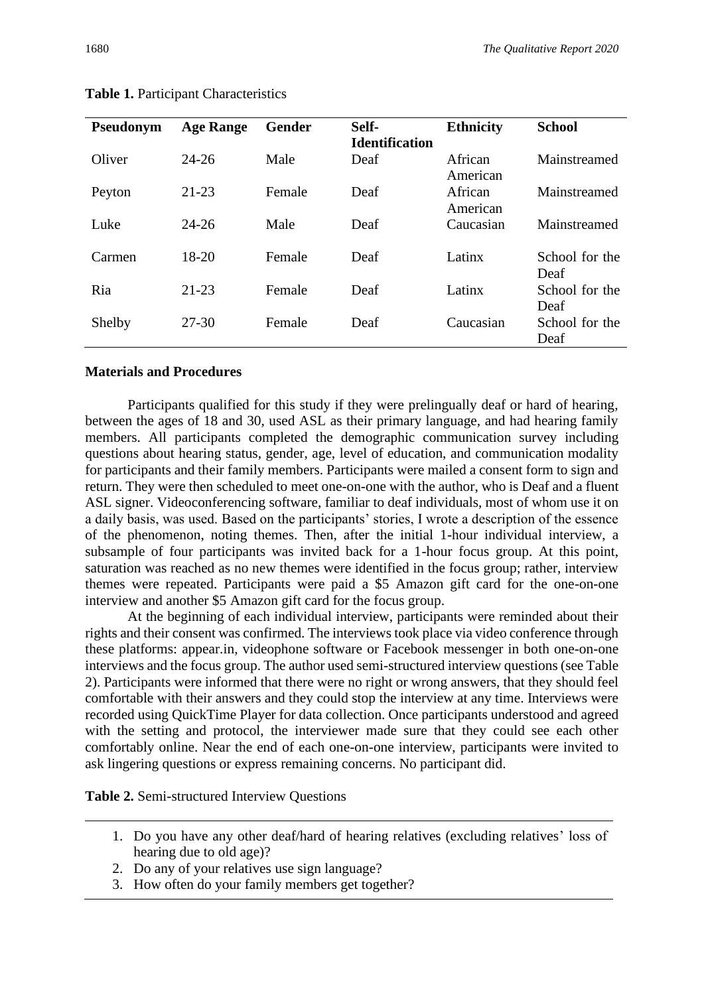Deaf

| Pseudonym | <b>Age Range</b> | <b>Gender</b> | Self-                 | <b>Ethnicity</b> | <b>School</b>  |
|-----------|------------------|---------------|-----------------------|------------------|----------------|
|           |                  |               | <b>Identification</b> |                  |                |
| Oliver    | $24 - 26$        | Male          | Deaf                  | African          | Mainstreamed   |
|           |                  |               |                       | American         |                |
| Peyton    | $21 - 23$        | Female        | Deaf                  | African          | Mainstreamed   |
|           |                  |               |                       | American         |                |
| Luke      | $24 - 26$        | Male          | Deaf                  | Caucasian        | Mainstreamed   |
|           |                  |               |                       |                  |                |
| Carmen    | 18-20            | Female        | Deaf                  | Latinx           | School for the |
|           |                  |               |                       |                  | Deaf           |
| Ria       | $21 - 23$        | Female        | Deaf                  | Latinx           | School for the |
|           |                  |               |                       |                  | Deaf           |

Shelby 27-30 Female Deaf Caucasian School for the

**Table 1.** Participant Characteristics

#### **Materials and Procedures**

Participants qualified for this study if they were prelingually deaf or hard of hearing, between the ages of 18 and 30, used ASL as their primary language, and had hearing family members. All participants completed the demographic communication survey including questions about hearing status, gender, age, level of education, and communication modality for participants and their family members. Participants were mailed a consent form to sign and return. They were then scheduled to meet one-on-one with the author, who is Deaf and a fluent ASL signer. Videoconferencing software, familiar to deaf individuals, most of whom use it on a daily basis, was used. Based on the participants' stories, I wrote a description of the essence of the phenomenon, noting themes. Then, after the initial 1-hour individual interview, a subsample of four participants was invited back for a 1-hour focus group. At this point, saturation was reached as no new themes were identified in the focus group; rather, interview themes were repeated. Participants were paid a \$5 Amazon gift card for the one-on-one interview and another \$5 Amazon gift card for the focus group.

At the beginning of each individual interview, participants were reminded about their rights and their consent was confirmed. The interviews took place via video conference through these platforms: appear.in, videophone software or Facebook messenger in both one-on-one interviews and the focus group. The author used semi-structured interview questions (see Table 2). Participants were informed that there were no right or wrong answers, that they should feel comfortable with their answers and they could stop the interview at any time. Interviews were recorded using QuickTime Player for data collection. Once participants understood and agreed with the setting and protocol, the interviewer made sure that they could see each other comfortably online. Near the end of each one-on-one interview, participants were invited to ask lingering questions or express remaining concerns. No participant did.

**Table 2.** Semi-structured Interview Questions

- 1. Do you have any other deaf/hard of hearing relatives (excluding relatives' loss of hearing due to old age)?
- 2. Do any of your relatives use sign language?
- 3. How often do your family members get together?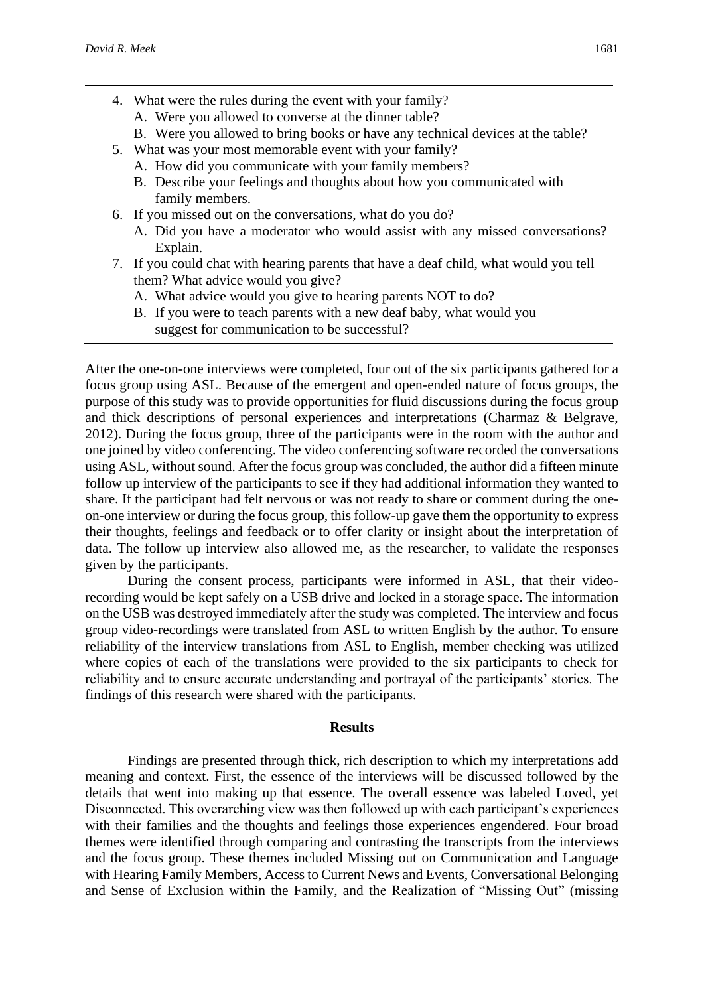- 4. What were the rules during the event with your family?
	- A. Were you allowed to converse at the dinner table?
	- B. Were you allowed to bring books or have any technical devices at the table?
- 5. What was your most memorable event with your family?
	- A. How did you communicate with your family members?
	- B. Describe your feelings and thoughts about how you communicated with family members.
- 6. If you missed out on the conversations, what do you do?
	- A. Did you have a moderator who would assist with any missed conversations? Explain.
- 7. If you could chat with hearing parents that have a deaf child, what would you tell them? What advice would you give?
	- A. What advice would you give to hearing parents NOT to do?
	- B. If you were to teach parents with a new deaf baby, what would you suggest for communication to be successful?

After the one-on-one interviews were completed, four out of the six participants gathered for a focus group using ASL. Because of the emergent and open-ended nature of focus groups, the purpose of this study was to provide opportunities for fluid discussions during the focus group and thick descriptions of personal experiences and interpretations (Charmaz & Belgrave, 2012). During the focus group, three of the participants were in the room with the author and one joined by video conferencing. The video conferencing software recorded the conversations using ASL, without sound. After the focus group was concluded, the author did a fifteen minute follow up interview of the participants to see if they had additional information they wanted to share. If the participant had felt nervous or was not ready to share or comment during the oneon-one interview or during the focus group, this follow-up gave them the opportunity to express their thoughts, feelings and feedback or to offer clarity or insight about the interpretation of data. The follow up interview also allowed me, as the researcher, to validate the responses given by the participants.

During the consent process, participants were informed in ASL, that their videorecording would be kept safely on a USB drive and locked in a storage space. The information on the USB was destroyed immediately after the study was completed. The interview and focus group video-recordings were translated from ASL to written English by the author. To ensure reliability of the interview translations from ASL to English, member checking was utilized where copies of each of the translations were provided to the six participants to check for reliability and to ensure accurate understanding and portrayal of the participants' stories. The findings of this research were shared with the participants.

#### **Results**

Findings are presented through thick, rich description to which my interpretations add meaning and context. First, the essence of the interviews will be discussed followed by the details that went into making up that essence. The overall essence was labeled Loved, yet Disconnected. This overarching view was then followed up with each participant's experiences with their families and the thoughts and feelings those experiences engendered. Four broad themes were identified through comparing and contrasting the transcripts from the interviews and the focus group. These themes included Missing out on Communication and Language with Hearing Family Members, Access to Current News and Events, Conversational Belonging and Sense of Exclusion within the Family, and the Realization of "Missing Out" (missing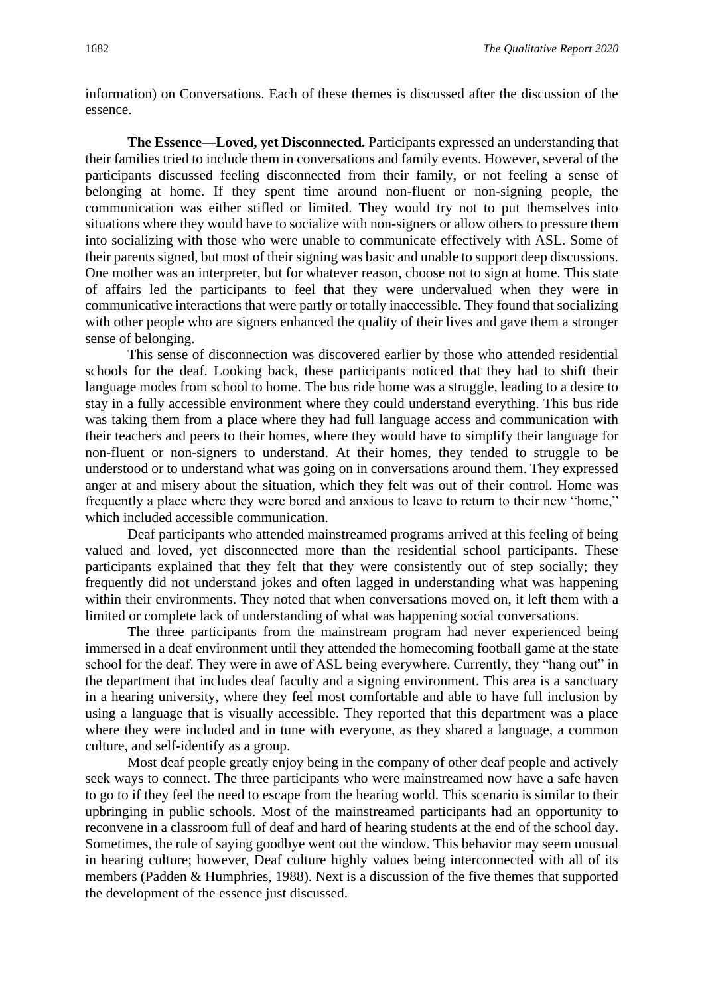information) on Conversations. Each of these themes is discussed after the discussion of the essence.

**The Essence—Loved, yet Disconnected.** Participants expressed an understanding that their families tried to include them in conversations and family events. However, several of the participants discussed feeling disconnected from their family, or not feeling a sense of belonging at home. If they spent time around non-fluent or non-signing people, the communication was either stifled or limited. They would try not to put themselves into situations where they would have to socialize with non-signers or allow others to pressure them into socializing with those who were unable to communicate effectively with ASL. Some of their parents signed, but most of their signing was basic and unable to support deep discussions. One mother was an interpreter, but for whatever reason, choose not to sign at home. This state of affairs led the participants to feel that they were undervalued when they were in communicative interactions that were partly or totally inaccessible. They found that socializing with other people who are signers enhanced the quality of their lives and gave them a stronger sense of belonging.

This sense of disconnection was discovered earlier by those who attended residential schools for the deaf. Looking back, these participants noticed that they had to shift their language modes from school to home. The bus ride home was a struggle, leading to a desire to stay in a fully accessible environment where they could understand everything. This bus ride was taking them from a place where they had full language access and communication with their teachers and peers to their homes, where they would have to simplify their language for non-fluent or non-signers to understand. At their homes, they tended to struggle to be understood or to understand what was going on in conversations around them. They expressed anger at and misery about the situation, which they felt was out of their control. Home was frequently a place where they were bored and anxious to leave to return to their new "home," which included accessible communication.

Deaf participants who attended mainstreamed programs arrived at this feeling of being valued and loved, yet disconnected more than the residential school participants. These participants explained that they felt that they were consistently out of step socially; they frequently did not understand jokes and often lagged in understanding what was happening within their environments. They noted that when conversations moved on, it left them with a limited or complete lack of understanding of what was happening social conversations.

The three participants from the mainstream program had never experienced being immersed in a deaf environment until they attended the homecoming football game at the state school for the deaf. They were in awe of ASL being everywhere. Currently, they "hang out" in the department that includes deaf faculty and a signing environment. This area is a sanctuary in a hearing university, where they feel most comfortable and able to have full inclusion by using a language that is visually accessible. They reported that this department was a place where they were included and in tune with everyone, as they shared a language, a common culture, and self-identify as a group.

Most deaf people greatly enjoy being in the company of other deaf people and actively seek ways to connect. The three participants who were mainstreamed now have a safe haven to go to if they feel the need to escape from the hearing world. This scenario is similar to their upbringing in public schools. Most of the mainstreamed participants had an opportunity to reconvene in a classroom full of deaf and hard of hearing students at the end of the school day. Sometimes, the rule of saying goodbye went out the window. This behavior may seem unusual in hearing culture; however, Deaf culture highly values being interconnected with all of its members (Padden & Humphries, 1988). Next is a discussion of the five themes that supported the development of the essence just discussed.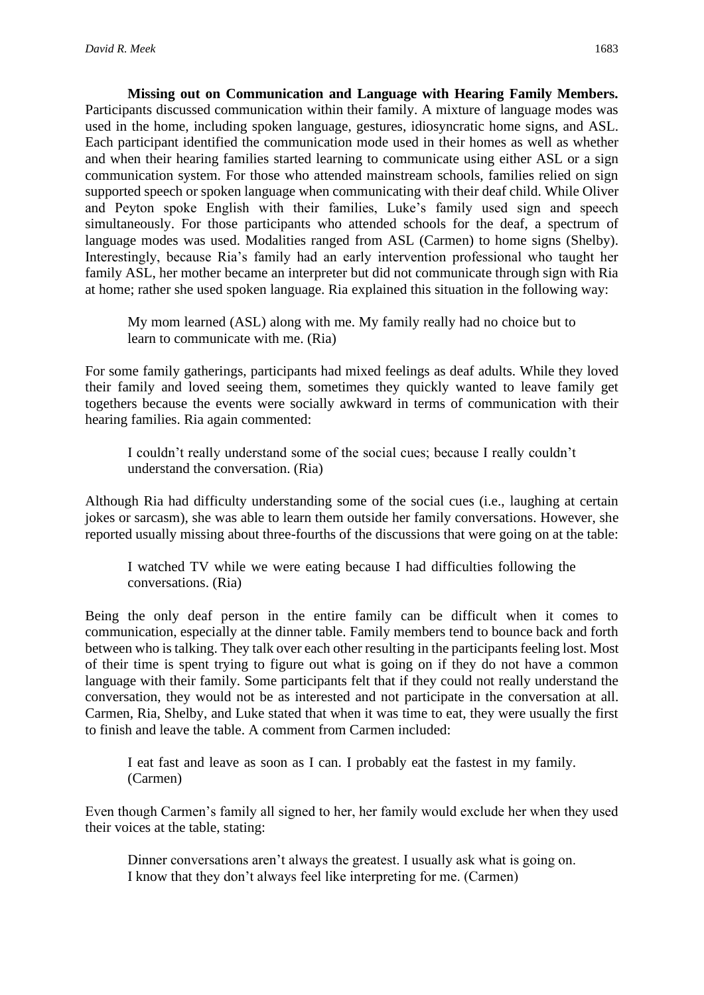**Missing out on Communication and Language with Hearing Family Members.** Participants discussed communication within their family. A mixture of language modes was used in the home, including spoken language, gestures, idiosyncratic home signs, and ASL. Each participant identified the communication mode used in their homes as well as whether and when their hearing families started learning to communicate using either ASL or a sign communication system. For those who attended mainstream schools, families relied on sign supported speech or spoken language when communicating with their deaf child. While Oliver and Peyton spoke English with their families, Luke's family used sign and speech simultaneously. For those participants who attended schools for the deaf, a spectrum of language modes was used. Modalities ranged from ASL (Carmen) to home signs (Shelby). Interestingly, because Ria's family had an early intervention professional who taught her family ASL, her mother became an interpreter but did not communicate through sign with Ria at home; rather she used spoken language. Ria explained this situation in the following way:

My mom learned (ASL) along with me. My family really had no choice but to learn to communicate with me. (Ria)

For some family gatherings, participants had mixed feelings as deaf adults. While they loved their family and loved seeing them, sometimes they quickly wanted to leave family get togethers because the events were socially awkward in terms of communication with their hearing families. Ria again commented:

I couldn't really understand some of the social cues; because I really couldn't understand the conversation. (Ria)

Although Ria had difficulty understanding some of the social cues (i.e., laughing at certain jokes or sarcasm), she was able to learn them outside her family conversations. However, she reported usually missing about three-fourths of the discussions that were going on at the table:

I watched TV while we were eating because I had difficulties following the conversations. (Ria)

Being the only deaf person in the entire family can be difficult when it comes to communication, especially at the dinner table. Family members tend to bounce back and forth between who is talking. They talk over each other resulting in the participants feeling lost. Most of their time is spent trying to figure out what is going on if they do not have a common language with their family. Some participants felt that if they could not really understand the conversation, they would not be as interested and not participate in the conversation at all. Carmen, Ria, Shelby, and Luke stated that when it was time to eat, they were usually the first to finish and leave the table. A comment from Carmen included:

I eat fast and leave as soon as I can. I probably eat the fastest in my family. (Carmen)

Even though Carmen's family all signed to her, her family would exclude her when they used their voices at the table, stating:

Dinner conversations aren't always the greatest. I usually ask what is going on. I know that they don't always feel like interpreting for me. (Carmen)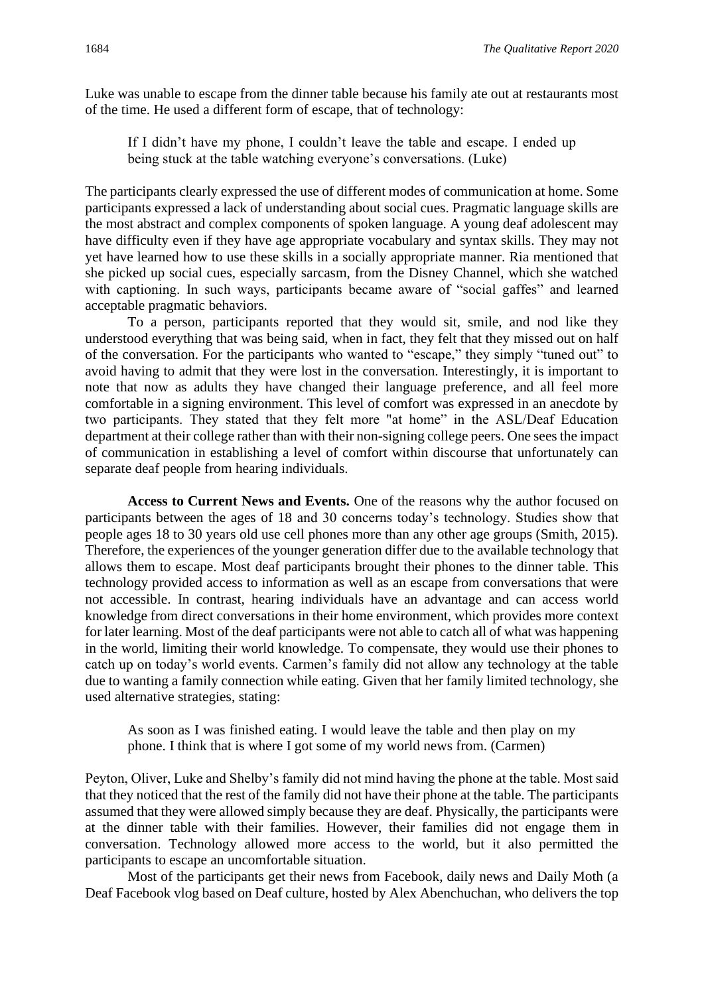Luke was unable to escape from the dinner table because his family ate out at restaurants most of the time. He used a different form of escape, that of technology:

If I didn't have my phone, I couldn't leave the table and escape. I ended up being stuck at the table watching everyone's conversations. (Luke)

The participants clearly expressed the use of different modes of communication at home. Some participants expressed a lack of understanding about social cues. Pragmatic language skills are the most abstract and complex components of spoken language. A young deaf adolescent may have difficulty even if they have age appropriate vocabulary and syntax skills. They may not yet have learned how to use these skills in a socially appropriate manner. Ria mentioned that she picked up social cues, especially sarcasm, from the Disney Channel, which she watched with captioning. In such ways, participants became aware of "social gaffes" and learned acceptable pragmatic behaviors.

To a person, participants reported that they would sit, smile, and nod like they understood everything that was being said, when in fact, they felt that they missed out on half of the conversation. For the participants who wanted to "escape," they simply "tuned out" to avoid having to admit that they were lost in the conversation. Interestingly, it is important to note that now as adults they have changed their language preference, and all feel more comfortable in a signing environment. This level of comfort was expressed in an anecdote by two participants. They stated that they felt more "at home" in the ASL/Deaf Education department at their college rather than with their non-signing college peers. One sees the impact of communication in establishing a level of comfort within discourse that unfortunately can separate deaf people from hearing individuals.

**Access to Current News and Events.** One of the reasons why the author focused on participants between the ages of 18 and 30 concerns today's technology. Studies show that people ages 18 to 30 years old use cell phones more than any other age groups (Smith, 2015). Therefore, the experiences of the younger generation differ due to the available technology that allows them to escape. Most deaf participants brought their phones to the dinner table. This technology provided access to information as well as an escape from conversations that were not accessible. In contrast, hearing individuals have an advantage and can access world knowledge from direct conversations in their home environment, which provides more context for later learning. Most of the deaf participants were not able to catch all of what was happening in the world, limiting their world knowledge. To compensate, they would use their phones to catch up on today's world events. Carmen's family did not allow any technology at the table due to wanting a family connection while eating. Given that her family limited technology, she used alternative strategies, stating:

As soon as I was finished eating. I would leave the table and then play on my phone. I think that is where I got some of my world news from. (Carmen)

Peyton, Oliver, Luke and Shelby's family did not mind having the phone at the table. Most said that they noticed that the rest of the family did not have their phone at the table. The participants assumed that they were allowed simply because they are deaf. Physically, the participants were at the dinner table with their families. However, their families did not engage them in conversation. Technology allowed more access to the world, but it also permitted the participants to escape an uncomfortable situation.

Most of the participants get their news from Facebook, daily news and Daily Moth (a Deaf Facebook vlog based on Deaf culture, hosted by Alex Abenchuchan, who delivers the top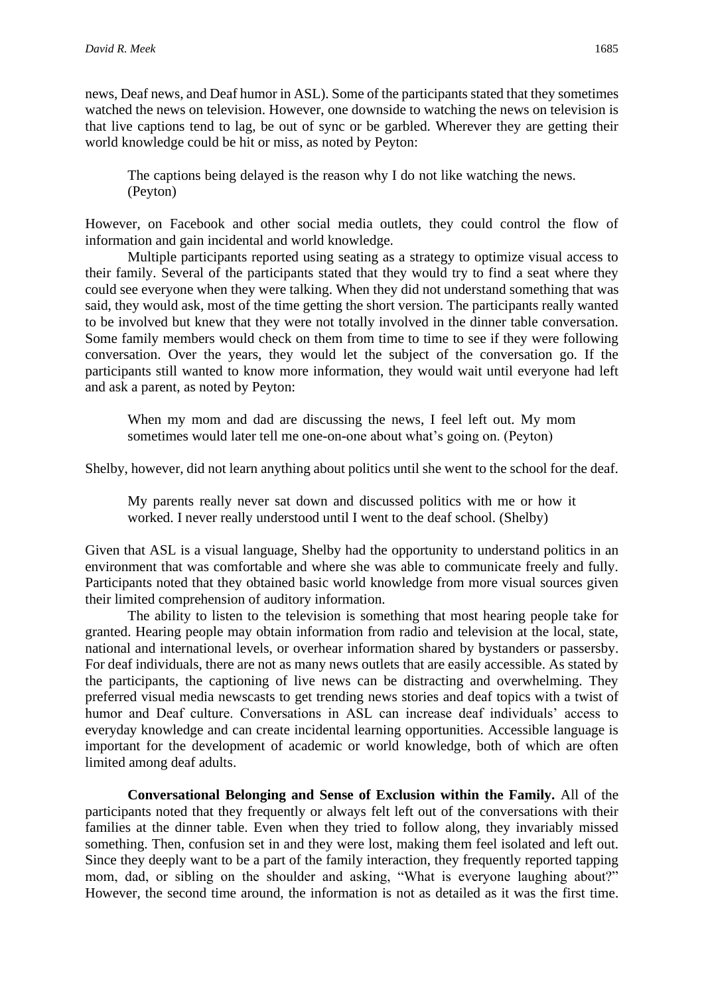news, Deaf news, and Deaf humor in ASL). Some of the participants stated that they sometimes watched the news on television. However, one downside to watching the news on television is that live captions tend to lag, be out of sync or be garbled. Wherever they are getting their world knowledge could be hit or miss, as noted by Peyton:

The captions being delayed is the reason why I do not like watching the news. (Peyton)

However, on Facebook and other social media outlets, they could control the flow of information and gain incidental and world knowledge.

Multiple participants reported using seating as a strategy to optimize visual access to their family. Several of the participants stated that they would try to find a seat where they could see everyone when they were talking. When they did not understand something that was said, they would ask, most of the time getting the short version. The participants really wanted to be involved but knew that they were not totally involved in the dinner table conversation. Some family members would check on them from time to time to see if they were following conversation. Over the years, they would let the subject of the conversation go. If the participants still wanted to know more information, they would wait until everyone had left and ask a parent, as noted by Peyton:

When my mom and dad are discussing the news, I feel left out. My mom sometimes would later tell me one-on-one about what's going on. (Peyton)

Shelby, however, did not learn anything about politics until she went to the school for the deaf.

My parents really never sat down and discussed politics with me or how it worked. I never really understood until I went to the deaf school. (Shelby)

Given that ASL is a visual language, Shelby had the opportunity to understand politics in an environment that was comfortable and where she was able to communicate freely and fully. Participants noted that they obtained basic world knowledge from more visual sources given their limited comprehension of auditory information.

The ability to listen to the television is something that most hearing people take for granted. Hearing people may obtain information from radio and television at the local, state, national and international levels, or overhear information shared by bystanders or passersby. For deaf individuals, there are not as many news outlets that are easily accessible. As stated by the participants, the captioning of live news can be distracting and overwhelming. They preferred visual media newscasts to get trending news stories and deaf topics with a twist of humor and Deaf culture. Conversations in ASL can increase deaf individuals' access to everyday knowledge and can create incidental learning opportunities. Accessible language is important for the development of academic or world knowledge, both of which are often limited among deaf adults.

**Conversational Belonging and Sense of Exclusion within the Family.** All of the participants noted that they frequently or always felt left out of the conversations with their families at the dinner table. Even when they tried to follow along, they invariably missed something. Then, confusion set in and they were lost, making them feel isolated and left out. Since they deeply want to be a part of the family interaction, they frequently reported tapping mom, dad, or sibling on the shoulder and asking, "What is everyone laughing about?" However, the second time around, the information is not as detailed as it was the first time.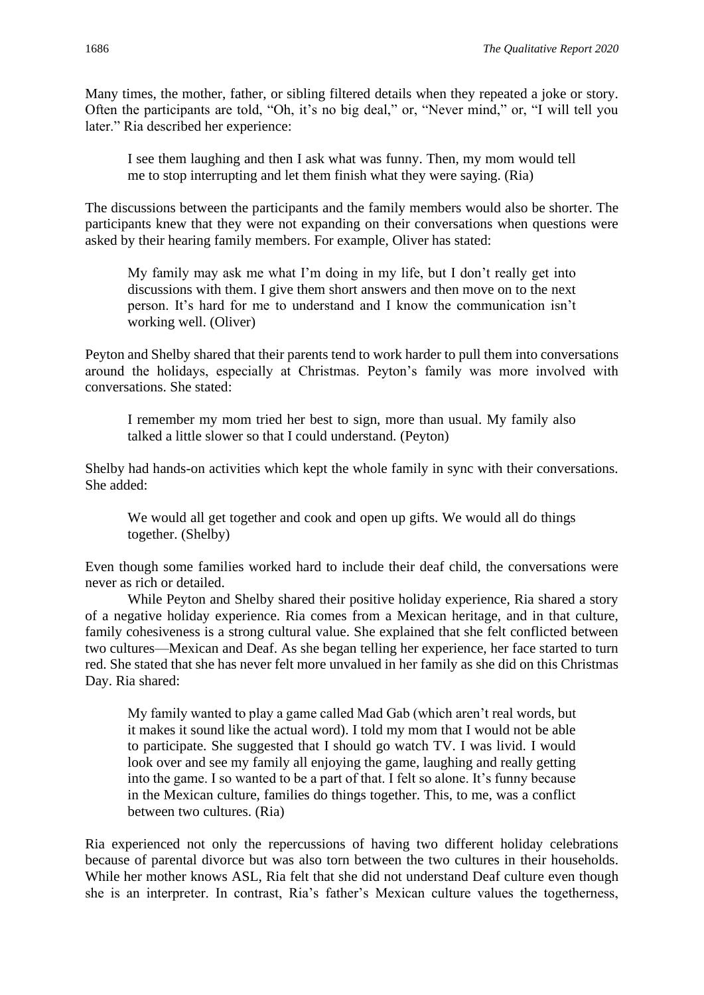Many times, the mother, father, or sibling filtered details when they repeated a joke or story. Often the participants are told, "Oh, it's no big deal," or, "Never mind," or, "I will tell you later." Ria described her experience:

I see them laughing and then I ask what was funny. Then, my mom would tell me to stop interrupting and let them finish what they were saying. (Ria)

The discussions between the participants and the family members would also be shorter. The participants knew that they were not expanding on their conversations when questions were asked by their hearing family members. For example, Oliver has stated:

My family may ask me what I'm doing in my life, but I don't really get into discussions with them. I give them short answers and then move on to the next person. It's hard for me to understand and I know the communication isn't working well. (Oliver)

Peyton and Shelby shared that their parents tend to work harder to pull them into conversations around the holidays, especially at Christmas. Peyton's family was more involved with conversations. She stated:

I remember my mom tried her best to sign, more than usual. My family also talked a little slower so that I could understand. (Peyton)

Shelby had hands-on activities which kept the whole family in sync with their conversations. She added:

We would all get together and cook and open up gifts. We would all do things together. (Shelby)

Even though some families worked hard to include their deaf child, the conversations were never as rich or detailed.

While Peyton and Shelby shared their positive holiday experience, Ria shared a story of a negative holiday experience. Ria comes from a Mexican heritage, and in that culture, family cohesiveness is a strong cultural value. She explained that she felt conflicted between two cultures—Mexican and Deaf. As she began telling her experience, her face started to turn red. She stated that she has never felt more unvalued in her family as she did on this Christmas Day. Ria shared:

My family wanted to play a game called Mad Gab (which aren't real words, but it makes it sound like the actual word). I told my mom that I would not be able to participate. She suggested that I should go watch TV. I was livid. I would look over and see my family all enjoying the game, laughing and really getting into the game. I so wanted to be a part of that. I felt so alone. It's funny because in the Mexican culture, families do things together. This, to me, was a conflict between two cultures. (Ria)

Ria experienced not only the repercussions of having two different holiday celebrations because of parental divorce but was also torn between the two cultures in their households. While her mother knows ASL, Ria felt that she did not understand Deaf culture even though she is an interpreter. In contrast, Ria's father's Mexican culture values the togetherness,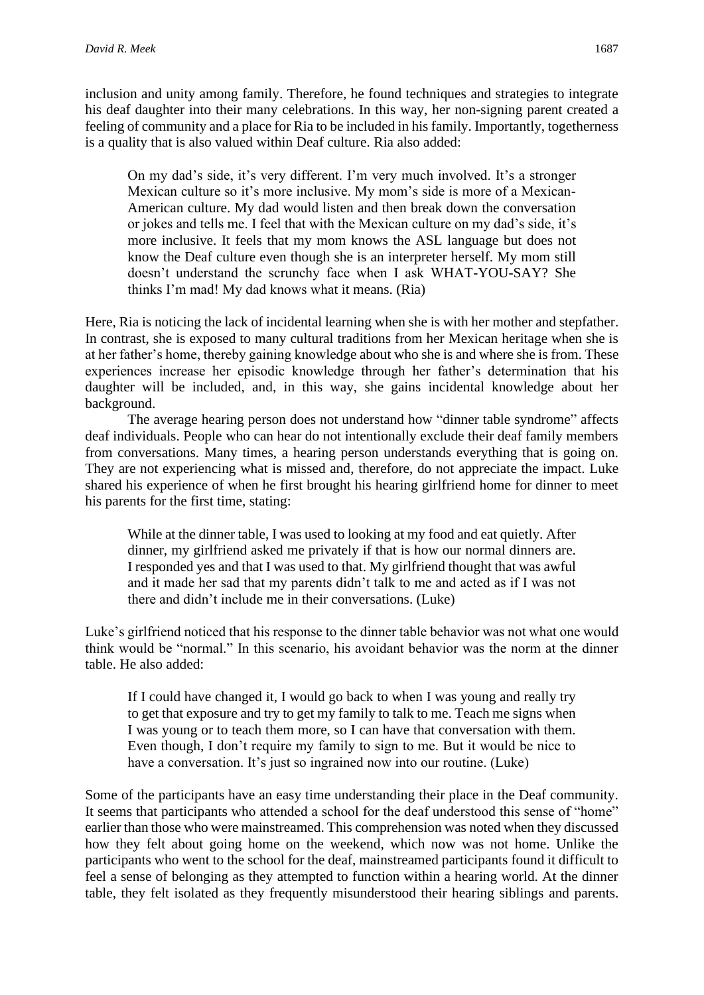inclusion and unity among family. Therefore, he found techniques and strategies to integrate his deaf daughter into their many celebrations. In this way, her non-signing parent created a feeling of community and a place for Ria to be included in his family. Importantly, togetherness is a quality that is also valued within Deaf culture. Ria also added:

On my dad's side, it's very different. I'm very much involved. It's a stronger Mexican culture so it's more inclusive. My mom's side is more of a Mexican-American culture. My dad would listen and then break down the conversation or jokes and tells me. I feel that with the Mexican culture on my dad's side, it's more inclusive. It feels that my mom knows the ASL language but does not know the Deaf culture even though she is an interpreter herself. My mom still doesn't understand the scrunchy face when I ask WHAT-YOU-SAY? She thinks I'm mad! My dad knows what it means. (Ria)

Here, Ria is noticing the lack of incidental learning when she is with her mother and stepfather. In contrast, she is exposed to many cultural traditions from her Mexican heritage when she is at her father's home, thereby gaining knowledge about who she is and where she is from. These experiences increase her episodic knowledge through her father's determination that his daughter will be included, and, in this way, she gains incidental knowledge about her background.

The average hearing person does not understand how "dinner table syndrome" affects deaf individuals. People who can hear do not intentionally exclude their deaf family members from conversations. Many times, a hearing person understands everything that is going on. They are not experiencing what is missed and, therefore, do not appreciate the impact. Luke shared his experience of when he first brought his hearing girlfriend home for dinner to meet his parents for the first time, stating:

While at the dinner table, I was used to looking at my food and eat quietly. After dinner, my girlfriend asked me privately if that is how our normal dinners are. I responded yes and that I was used to that. My girlfriend thought that was awful and it made her sad that my parents didn't talk to me and acted as if I was not there and didn't include me in their conversations. (Luke)

Luke's girlfriend noticed that his response to the dinner table behavior was not what one would think would be "normal." In this scenario, his avoidant behavior was the norm at the dinner table. He also added:

If I could have changed it, I would go back to when I was young and really try to get that exposure and try to get my family to talk to me. Teach me signs when I was young or to teach them more, so I can have that conversation with them. Even though, I don't require my family to sign to me. But it would be nice to have a conversation. It's just so ingrained now into our routine. (Luke)

Some of the participants have an easy time understanding their place in the Deaf community. It seems that participants who attended a school for the deaf understood this sense of "home" earlier than those who were mainstreamed. This comprehension was noted when they discussed how they felt about going home on the weekend, which now was not home. Unlike the participants who went to the school for the deaf, mainstreamed participants found it difficult to feel a sense of belonging as they attempted to function within a hearing world. At the dinner table, they felt isolated as they frequently misunderstood their hearing siblings and parents.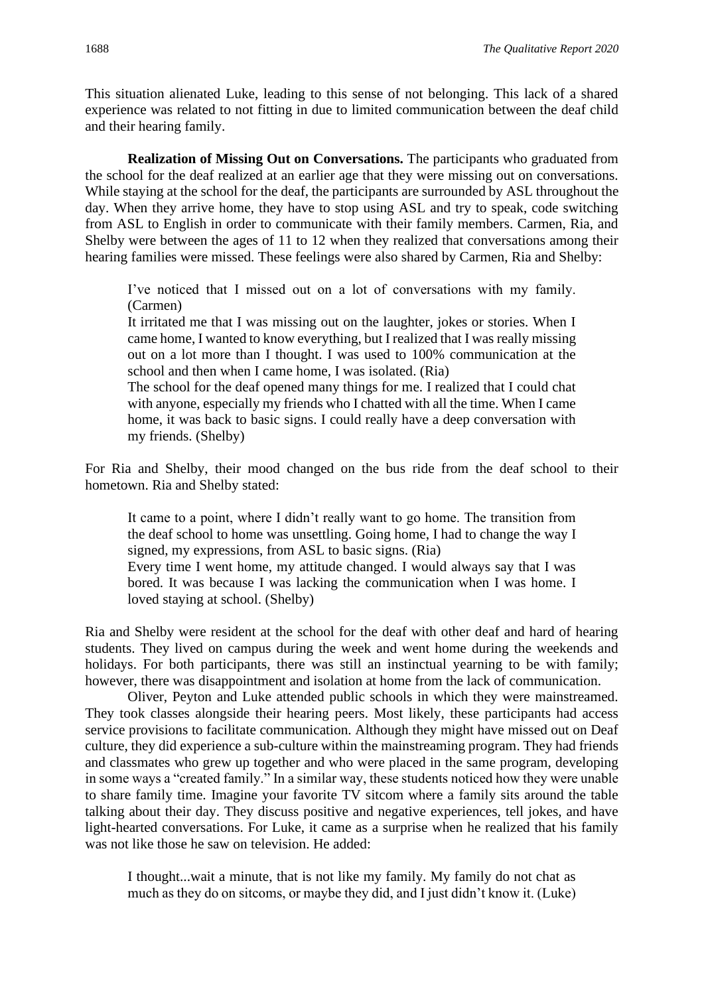This situation alienated Luke, leading to this sense of not belonging. This lack of a shared experience was related to not fitting in due to limited communication between the deaf child and their hearing family.

**Realization of Missing Out on Conversations.** The participants who graduated from the school for the deaf realized at an earlier age that they were missing out on conversations. While staying at the school for the deaf, the participants are surrounded by ASL throughout the day. When they arrive home, they have to stop using ASL and try to speak, code switching from ASL to English in order to communicate with their family members. Carmen, Ria, and Shelby were between the ages of 11 to 12 when they realized that conversations among their hearing families were missed. These feelings were also shared by Carmen, Ria and Shelby:

I've noticed that I missed out on a lot of conversations with my family. (Carmen)

It irritated me that I was missing out on the laughter, jokes or stories. When I came home, I wanted to know everything, but I realized that I was really missing out on a lot more than I thought. I was used to 100% communication at the school and then when I came home, I was isolated. (Ria)

The school for the deaf opened many things for me. I realized that I could chat with anyone, especially my friends who I chatted with all the time. When I came home, it was back to basic signs. I could really have a deep conversation with my friends. (Shelby)

For Ria and Shelby, their mood changed on the bus ride from the deaf school to their hometown. Ria and Shelby stated:

It came to a point, where I didn't really want to go home. The transition from the deaf school to home was unsettling. Going home, I had to change the way I signed, my expressions, from ASL to basic signs. (Ria) Every time I went home, my attitude changed. I would always say that I was

bored. It was because I was lacking the communication when I was home. I loved staying at school. (Shelby)

Ria and Shelby were resident at the school for the deaf with other deaf and hard of hearing students. They lived on campus during the week and went home during the weekends and holidays. For both participants, there was still an instinctual yearning to be with family; however, there was disappointment and isolation at home from the lack of communication.

Oliver, Peyton and Luke attended public schools in which they were mainstreamed. They took classes alongside their hearing peers. Most likely, these participants had access service provisions to facilitate communication. Although they might have missed out on Deaf culture, they did experience a sub-culture within the mainstreaming program. They had friends and classmates who grew up together and who were placed in the same program, developing in some ways a "created family." In a similar way, these students noticed how they were unable to share family time. Imagine your favorite TV sitcom where a family sits around the table talking about their day. They discuss positive and negative experiences, tell jokes, and have light-hearted conversations. For Luke, it came as a surprise when he realized that his family was not like those he saw on television. He added:

I thought...wait a minute, that is not like my family. My family do not chat as much as they do on sitcoms, or maybe they did, and I just didn't know it. (Luke)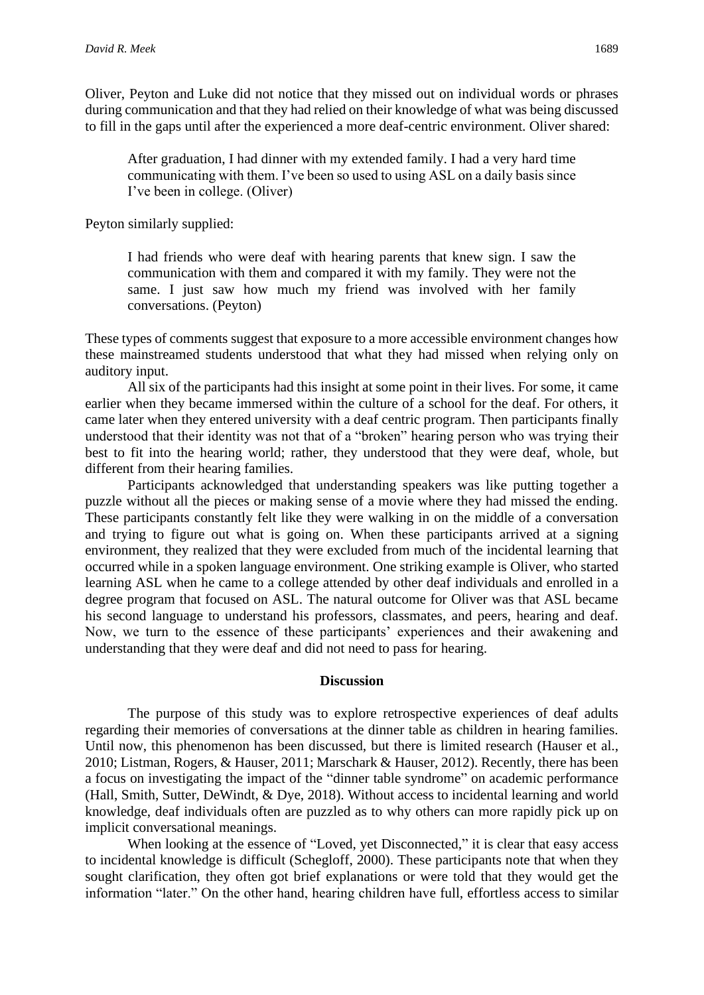Oliver, Peyton and Luke did not notice that they missed out on individual words or phrases during communication and that they had relied on their knowledge of what was being discussed to fill in the gaps until after the experienced a more deaf-centric environment. Oliver shared:

After graduation, I had dinner with my extended family. I had a very hard time communicating with them. I've been so used to using ASL on a daily basis since I've been in college. (Oliver)

Peyton similarly supplied:

I had friends who were deaf with hearing parents that knew sign. I saw the communication with them and compared it with my family. They were not the same. I just saw how much my friend was involved with her family conversations. (Peyton)

These types of comments suggest that exposure to a more accessible environment changes how these mainstreamed students understood that what they had missed when relying only on auditory input.

All six of the participants had this insight at some point in their lives. For some, it came earlier when they became immersed within the culture of a school for the deaf. For others, it came later when they entered university with a deaf centric program. Then participants finally understood that their identity was not that of a "broken" hearing person who was trying their best to fit into the hearing world; rather, they understood that they were deaf, whole, but different from their hearing families.

Participants acknowledged that understanding speakers was like putting together a puzzle without all the pieces or making sense of a movie where they had missed the ending. These participants constantly felt like they were walking in on the middle of a conversation and trying to figure out what is going on. When these participants arrived at a signing environment, they realized that they were excluded from much of the incidental learning that occurred while in a spoken language environment. One striking example is Oliver, who started learning ASL when he came to a college attended by other deaf individuals and enrolled in a degree program that focused on ASL. The natural outcome for Oliver was that ASL became his second language to understand his professors, classmates, and peers, hearing and deaf. Now, we turn to the essence of these participants' experiences and their awakening and understanding that they were deaf and did not need to pass for hearing.

#### **Discussion**

The purpose of this study was to explore retrospective experiences of deaf adults regarding their memories of conversations at the dinner table as children in hearing families. Until now, this phenomenon has been discussed, but there is limited research (Hauser et al., 2010; Listman, Rogers, & Hauser, 2011; Marschark & Hauser, 2012). Recently, there has been a focus on investigating the impact of the "dinner table syndrome" on academic performance (Hall, Smith, Sutter, DeWindt, & Dye, 2018). Without access to incidental learning and world knowledge, deaf individuals often are puzzled as to why others can more rapidly pick up on implicit conversational meanings.

When looking at the essence of "Loved, yet Disconnected," it is clear that easy access to incidental knowledge is difficult (Schegloff, 2000). These participants note that when they sought clarification, they often got brief explanations or were told that they would get the information "later." On the other hand, hearing children have full, effortless access to similar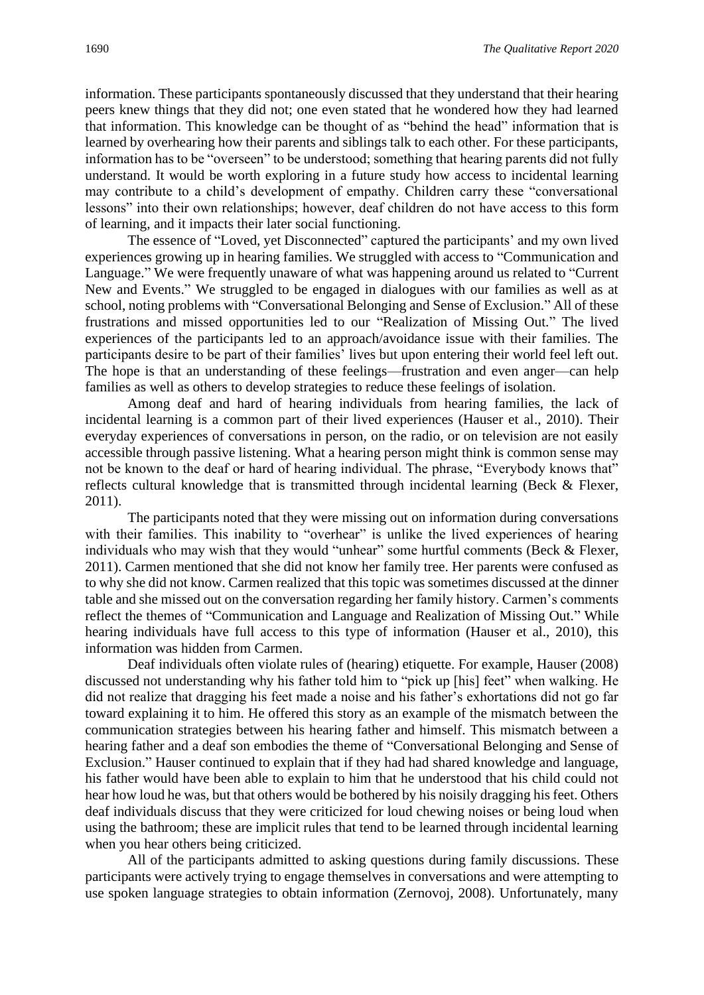information. These participants spontaneously discussed that they understand that their hearing peers knew things that they did not; one even stated that he wondered how they had learned that information. This knowledge can be thought of as "behind the head" information that is learned by overhearing how their parents and siblings talk to each other. For these participants, information has to be "overseen" to be understood; something that hearing parents did not fully understand. It would be worth exploring in a future study how access to incidental learning may contribute to a child's development of empathy. Children carry these "conversational lessons" into their own relationships; however, deaf children do not have access to this form of learning, and it impacts their later social functioning.

The essence of "Loved, yet Disconnected" captured the participants' and my own lived experiences growing up in hearing families. We struggled with access to "Communication and Language." We were frequently unaware of what was happening around us related to "Current New and Events." We struggled to be engaged in dialogues with our families as well as at school, noting problems with "Conversational Belonging and Sense of Exclusion." All of these frustrations and missed opportunities led to our "Realization of Missing Out." The lived experiences of the participants led to an approach/avoidance issue with their families. The participants desire to be part of their families' lives but upon entering their world feel left out. The hope is that an understanding of these feelings—frustration and even anger—can help families as well as others to develop strategies to reduce these feelings of isolation.

Among deaf and hard of hearing individuals from hearing families, the lack of incidental learning is a common part of their lived experiences (Hauser et al., 2010). Their everyday experiences of conversations in person, on the radio, or on television are not easily accessible through passive listening. What a hearing person might think is common sense may not be known to the deaf or hard of hearing individual. The phrase, "Everybody knows that" reflects cultural knowledge that is transmitted through incidental learning (Beck & Flexer, 2011).

The participants noted that they were missing out on information during conversations with their families. This inability to "overhear" is unlike the lived experiences of hearing individuals who may wish that they would "unhear" some hurtful comments (Beck & Flexer, 2011). Carmen mentioned that she did not know her family tree. Her parents were confused as to why she did not know. Carmen realized that this topic was sometimes discussed at the dinner table and she missed out on the conversation regarding her family history. Carmen's comments reflect the themes of "Communication and Language and Realization of Missing Out." While hearing individuals have full access to this type of information (Hauser et al., 2010), this information was hidden from Carmen.

Deaf individuals often violate rules of (hearing) etiquette. For example, Hauser (2008) discussed not understanding why his father told him to "pick up [his] feet" when walking. He did not realize that dragging his feet made a noise and his father's exhortations did not go far toward explaining it to him. He offered this story as an example of the mismatch between the communication strategies between his hearing father and himself. This mismatch between a hearing father and a deaf son embodies the theme of "Conversational Belonging and Sense of Exclusion." Hauser continued to explain that if they had had shared knowledge and language, his father would have been able to explain to him that he understood that his child could not hear how loud he was, but that others would be bothered by his noisily dragging his feet. Others deaf individuals discuss that they were criticized for loud chewing noises or being loud when using the bathroom; these are implicit rules that tend to be learned through incidental learning when you hear others being criticized.

All of the participants admitted to asking questions during family discussions. These participants were actively trying to engage themselves in conversations and were attempting to use spoken language strategies to obtain information (Zernovoj, 2008). Unfortunately, many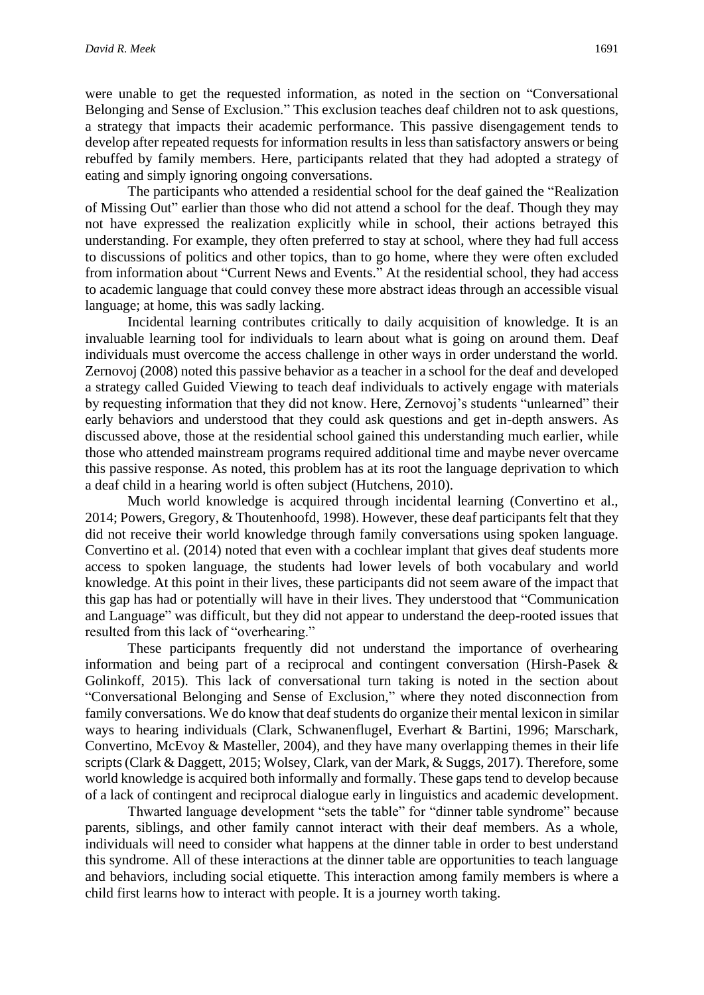were unable to get the requested information, as noted in the section on "Conversational Belonging and Sense of Exclusion." This exclusion teaches deaf children not to ask questions, a strategy that impacts their academic performance. This passive disengagement tends to develop after repeated requests for information results in less than satisfactory answers or being rebuffed by family members. Here, participants related that they had adopted a strategy of eating and simply ignoring ongoing conversations.

The participants who attended a residential school for the deaf gained the "Realization of Missing Out" earlier than those who did not attend a school for the deaf. Though they may not have expressed the realization explicitly while in school, their actions betrayed this understanding. For example, they often preferred to stay at school, where they had full access to discussions of politics and other topics, than to go home, where they were often excluded from information about "Current News and Events." At the residential school, they had access to academic language that could convey these more abstract ideas through an accessible visual language; at home, this was sadly lacking.

Incidental learning contributes critically to daily acquisition of knowledge. It is an invaluable learning tool for individuals to learn about what is going on around them. Deaf individuals must overcome the access challenge in other ways in order understand the world. Zernovoj (2008) noted this passive behavior as a teacher in a school for the deaf and developed a strategy called Guided Viewing to teach deaf individuals to actively engage with materials by requesting information that they did not know. Here, Zernovoj's students "unlearned" their early behaviors and understood that they could ask questions and get in-depth answers. As discussed above, those at the residential school gained this understanding much earlier, while those who attended mainstream programs required additional time and maybe never overcame this passive response. As noted, this problem has at its root the language deprivation to which a deaf child in a hearing world is often subject (Hutchens, 2010).

Much world knowledge is acquired through incidental learning (Convertino et al., 2014; Powers, Gregory, & Thoutenhoofd, 1998). However, these deaf participants felt that they did not receive their world knowledge through family conversations using spoken language. Convertino et al. (2014) noted that even with a cochlear implant that gives deaf students more access to spoken language, the students had lower levels of both vocabulary and world knowledge. At this point in their lives, these participants did not seem aware of the impact that this gap has had or potentially will have in their lives. They understood that "Communication and Language" was difficult, but they did not appear to understand the deep-rooted issues that resulted from this lack of "overhearing."

These participants frequently did not understand the importance of overhearing information and being part of a reciprocal and contingent conversation (Hirsh-Pasek & Golinkoff, 2015). This lack of conversational turn taking is noted in the section about "Conversational Belonging and Sense of Exclusion," where they noted disconnection from family conversations. We do know that deaf students do organize their mental lexicon in similar ways to hearing individuals (Clark, Schwanenflugel, Everhart & Bartini, 1996; Marschark, Convertino, McEvoy & Masteller, 2004), and they have many overlapping themes in their life scripts(Clark & Daggett, 2015; Wolsey, Clark, van der Mark, & Suggs, 2017). Therefore, some world knowledge is acquired both informally and formally. These gaps tend to develop because of a lack of contingent and reciprocal dialogue early in linguistics and academic development.

Thwarted language development "sets the table" for "dinner table syndrome" because parents, siblings, and other family cannot interact with their deaf members. As a whole, individuals will need to consider what happens at the dinner table in order to best understand this syndrome. All of these interactions at the dinner table are opportunities to teach language and behaviors, including social etiquette. This interaction among family members is where a child first learns how to interact with people. It is a journey worth taking.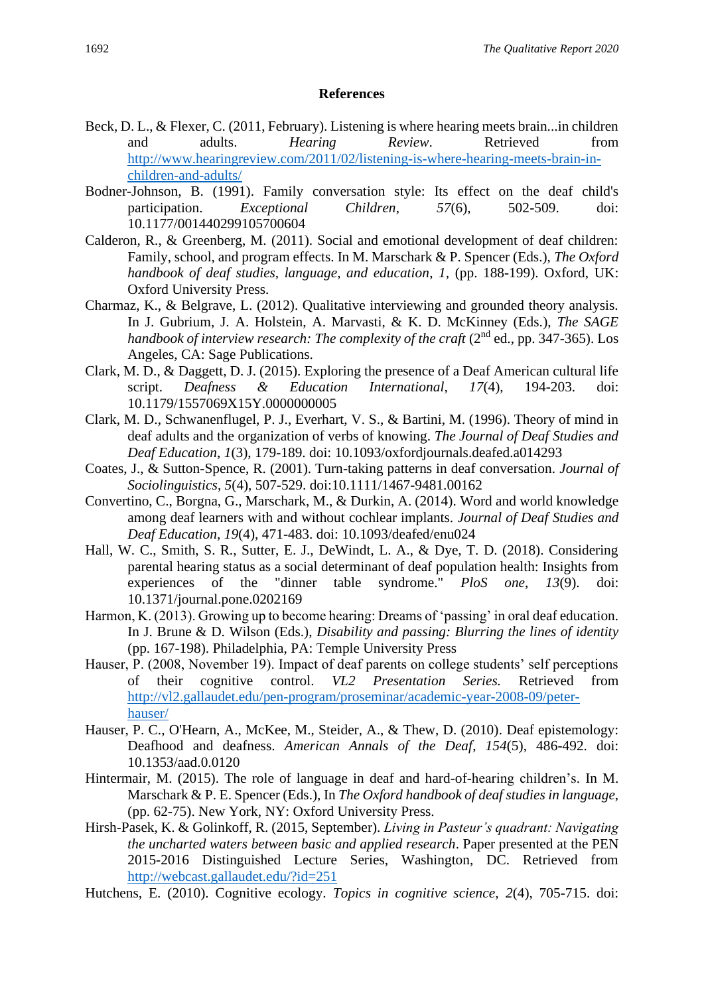#### **References**

- Beck, D. L., & Flexer, C. (2011, February). Listening is where hearing meets brain...in children and adults. *Hearing Review*. Retrieved from [http://www.hearingreview.com/2011/02/listening-is-where-hearing-meets-brain-in](http://www.hearingreview.com/2011/02/listening-is-where-hearing-meets-brain-in-children-and-adults/)[children-and-adults/](http://www.hearingreview.com/2011/02/listening-is-where-hearing-meets-brain-in-children-and-adults/)
- Bodner-Johnson, B. (1991). Family conversation style: Its effect on the deaf child's participation. *Exceptional Children*, *57*(6), 502-509. doi: 10.1177/001440299105700604
- Calderon, R., & Greenberg, M. (2011). Social and emotional development of deaf children: Family, school, and program effects. In M. Marschark & P. Spencer (Eds.), *The Oxford handbook of deaf studies, language, and education*, *1,* (pp. 188-199). Oxford, UK: Oxford University Press.
- Charmaz, K., & Belgrave, L. (2012). Qualitative interviewing and grounded theory analysis. In J. Gubrium, J. A. Holstein, A. Marvasti, & K. D. McKinney (Eds.), *The SAGE*  handbook of interview research: The complexity of the craft (2<sup>nd</sup> ed., pp. 347-365). Los Angeles, CA: Sage Publications.
- Clark, M. D., & Daggett, D. J. (2015). Exploring the presence of a Deaf American cultural life script. *Deafness & Education International*, *17*(4), 194-203. doi: 10.1179/1557069X15Y.0000000005
- Clark, M. D., Schwanenflugel, P. J., Everhart, V. S., & Bartini, M. (1996). Theory of mind in deaf adults and the organization of verbs of knowing. *The Journal of Deaf Studies and Deaf Education*, *1*(3), 179-189. doi: 10.1093/oxfordjournals.deafed.a014293
- Coates, J., & Sutton-Spence, R. (2001). Turn-taking patterns in deaf conversation. *Journal of Sociolinguistics*, *5*(4), 507-529. doi:10.1111/1467-9481.00162
- Convertino, C., Borgna, G., Marschark, M., & Durkin, A. (2014). Word and world knowledge among deaf learners with and without cochlear implants. *Journal of Deaf Studies and Deaf Education*, *19*(4), 471-483. doi: 10.1093/deafed/enu024
- Hall, W. C., Smith, S. R., Sutter, E. J., DeWindt, L. A., & Dye, T. D. (2018). Considering parental hearing status as a social determinant of deaf population health: Insights from experiences of the "dinner table syndrome." *PloS one*, *13*(9). doi: 10.1371/journal.pone.0202169
- Harmon, K. (2013). Growing up to become hearing: Dreams of 'passing' in oral deaf education. In J. Brune & D. Wilson (Eds.), *Disability and passing: Blurring the lines of identity* (pp. 167-198). Philadelphia, PA: Temple University Press
- Hauser, P. (2008, November 19). Impact of deaf parents on college students' self perceptions of their cognitive control. *VL2 Presentation Series.* Retrieved from [http://vl2.gallaudet.edu/pen-program/proseminar/academic-year-2008-09/peter](http://vl2.gallaudet.edu/pen-program/proseminar/academic-year-2008-09/peter-%20hauser/)[hauser/](http://vl2.gallaudet.edu/pen-program/proseminar/academic-year-2008-09/peter-%20hauser/)
- Hauser, P. C., O'Hearn, A., McKee, M., Steider, A., & Thew, D. (2010). Deaf epistemology: Deafhood and deafness. *American Annals of the Deaf*, *154*(5), 486-492. doi: 10.1353/aad.0.0120
- Hintermair, M. (2015). The role of language in deaf and hard-of-hearing children's. In M. Marschark & P. E. Spencer (Eds.), In *The Oxford handbook of deaf studies in language*, (pp. 62-75). New York, NY: Oxford University Press.
- Hirsh-Pasek, K. & Golinkoff, R. (2015, September). *Living in Pasteur's quadrant: Navigating the uncharted waters between basic and applied research*. Paper presented at the PEN 2015-2016 Distinguished Lecture Series, Washington, DC. Retrieved from <http://webcast.gallaudet.edu/?id=251>
- Hutchens, E. (2010). Cognitive ecology. *Topics in cognitive science, 2*(4), 705-715. doi: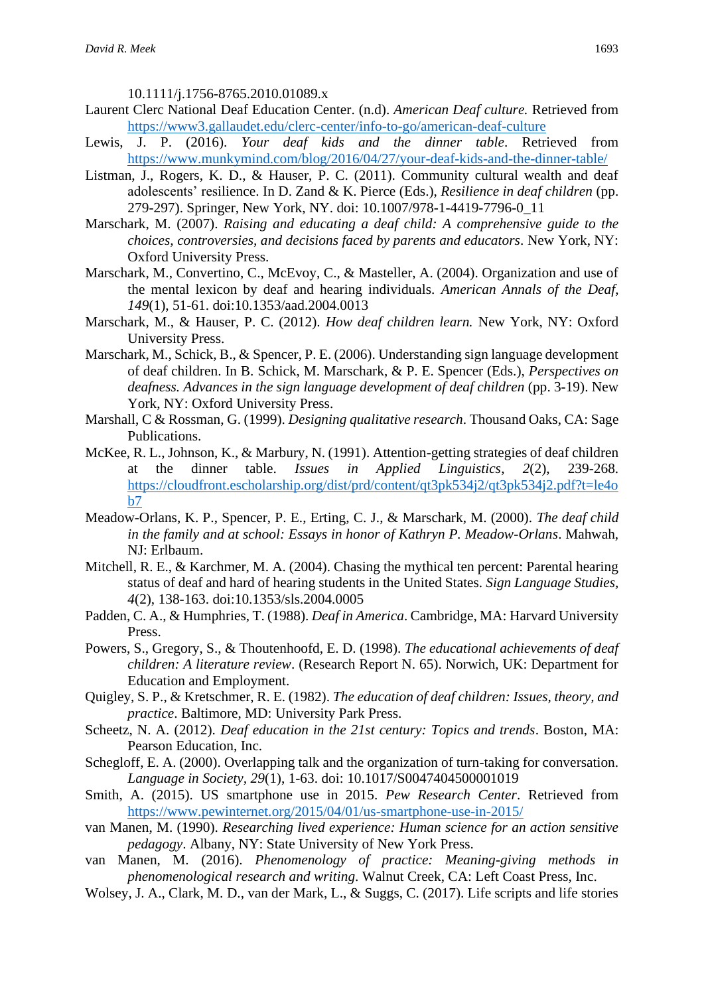10.1111/j.1756-8765.2010.01089.x

- Laurent Clerc National Deaf Education Center. (n.d). *American Deaf culture.* Retrieved from <https://www3.gallaudet.edu/clerc-center/info-to-go/american-deaf-culture>
- Lewis, J. P. (2016). *Your deaf kids and the dinner table*. Retrieved from <https://www.munkymind.com/blog/2016/04/27/your-deaf-kids-and-the-dinner-table/>
- Listman, J., Rogers, K. D., & Hauser, P. C. (2011). Community cultural wealth and deaf adolescents' resilience. In D. Zand & K. Pierce (Eds.), *Resilience in deaf children* (pp. 279-297). Springer, New York, NY. doi: 10.1007/978-1-4419-7796-0\_11
- Marschark, M. (2007). *Raising and educating a deaf child: A comprehensive guide to the choices, controversies, and decisions faced by parents and educators*. New York, NY: Oxford University Press.
- Marschark, M., Convertino, C., McEvoy, C., & Masteller, A. (2004). Organization and use of the mental lexicon by deaf and hearing individuals. *American Annals of the Deaf*, *149*(1), 51-61. doi:10.1353/aad.2004.0013
- Marschark, M., & Hauser, P. C. (2012). *How deaf children learn.* New York, NY: Oxford University Press.
- Marschark, M., Schick, B., & Spencer, P. E. (2006). Understanding sign language development of deaf children. In B. Schick, M. Marschark, & P. E. Spencer (Eds.), *Perspectives on deafness. Advances in the sign language development of deaf children (pp. 3-19). New* York, NY: Oxford University Press.
- Marshall, C & Rossman, G. (1999). *Designing qualitative research*. Thousand Oaks, CA: Sage Publications.
- McKee, R. L., Johnson, K., & Marbury, N. (1991). Attention-getting strategies of deaf children at the dinner table. *Issues in Applied Linguistics*, *2*(2), 239-268. [https://cloudfront.escholarship.org/dist/prd/content/qt3pk534j2/qt3pk534j2.pdf?t=le4o](https://cloudfront.escholarship.org/dist/prd/content/qt3pk534j2/qt3pk534j2.pdf?t=le4ob7)  $h7$
- Meadow-Orlans, K. P., Spencer, P. E., Erting, C. J., & Marschark, M. (2000). *The deaf child in the family and at school: Essays in honor of Kathryn P. Meadow-Orlans*. Mahwah, NJ: Erlbaum.
- Mitchell, R. E., & Karchmer, M. A. (2004). Chasing the mythical ten percent: Parental hearing status of deaf and hard of hearing students in the United States. *Sign Language Studies, 4*(2), 138-163. doi:10.1353/sls.2004.0005
- Padden, C. A., & Humphries, T. (1988). *Deaf in America*. Cambridge, MA: Harvard University Press.
- Powers, S., Gregory, S., & Thoutenhoofd, E. D. (1998). *The educational achievements of deaf children: A literature review*. (Research Report N. 65). Norwich, UK: Department for Education and Employment.
- Quigley, S. P., & Kretschmer, R. E. (1982). *The education of deaf children: Issues, theory, and practice*. Baltimore, MD: University Park Press.
- Scheetz, N. A. (2012). *Deaf education in the 21st century: Topics and trends*. Boston, MA: Pearson Education, Inc.
- Schegloff, E. A. (2000). Overlapping talk and the organization of turn-taking for conversation. *Language in Society, 29*(1), 1-63. doi: 10.1017/S0047404500001019
- Smith, A. (2015). US smartphone use in 2015. *Pew Research Center*. Retrieved from <https://www.pewinternet.org/2015/04/01/us-smartphone-use-in-2015/>
- van Manen, M. (1990). *Researching lived experience: Human science for an action sensitive pedagogy*. Albany, NY: State University of New York Press.
- van Manen, M. (2016). *Phenomenology of practice: Meaning-giving methods in phenomenological research and writing*. Walnut Creek, CA: Left Coast Press, Inc.
- Wolsey, J. A., Clark, M. D., van der Mark, L., & Suggs, C. (2017). Life scripts and life stories